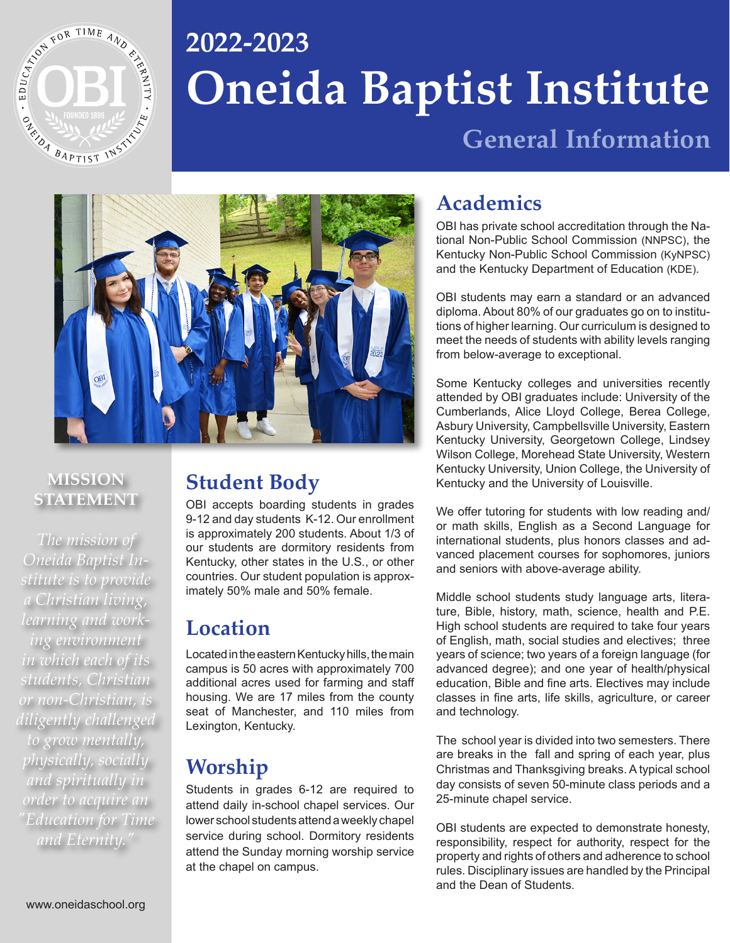

# **Oneida Baptist Institute 2022-2023**

**General Information**



#### **MISSION STATEMENT**

*The mission of Oneida Baptist Institute is to provide a Christian living, learning and working environment in which each of its students, Christian or non-Christian, is diligently challenged to grow mentally, physically, socially and spiritually in order to acquire an "Education for Time and Eternity."*

## **Student Body**

OBI accepts boarding students in grades 9-12 and day students K-12. Our enrollment is approximately 200 students. About 1/3 of our students are dormitory residents from Kentucky, other states in the U.S., or other countries. Our student population is approximately 50% male and 50% female.

## **Location**

Located in the eastern Kentucky hills, the main campus is 50 acres with approximately 700 additional acres used for farming and staff housing. We are 17 miles from the county seat of Manchester, and 110 miles from Lexington, Kentucky.

## **Worship**

Students in grades 6-12 are required to attend daily in-school chapel services. Our lower school students attend a weekly chapel service during school. Dormitory residents attend the Sunday morning worship service at the chapel on campus.

## **Academics**

OBI has private school accreditation through the National Non-Public School Commission (NNPSC), the Kentucky Non-Public School Commission (KyNPSC) and the Kentucky Department of Education (KDE).

OBI students may earn a standard or an advanced diploma. About 80% of our graduates go on to institutions of higher learning. Our curriculum is designed to meet the needs of students with ability levels ranging from below-average to exceptional.

Some Kentucky colleges and universities recently attended by OBI graduates include: University of the Cumberlands, Alice Lloyd College, Berea College, Asbury University, Campbellsville University, Eastern Kentucky University, Georgetown College, Lindsey Wilson College, Morehead State University, Western Kentucky University, Union College, the University of Kentucky and the University of Louisville.

We offer tutoring for students with low reading and/ or math skills, English as a Second Language for international students, plus honors classes and advanced placement courses for sophomores, juniors and seniors with above-average ability.

Middle school students study language arts, literature, Bible, history, math, science, health and P.E. High school students are required to take four years of English, math, social studies and electives; three years of science; two years of a foreign language (for advanced degree); and one year of health/physical education, Bible and fine arts. Electives may include classes in fine arts, life skills, agriculture, or career and technology.

The school year is divided into two semesters. There are breaks in the fall and spring of each year, plus Christmas and Thanksgiving breaks. A typical school day consists of seven 50-minute class periods and a 25-minute chapel service.

OBI students are expected to demonstrate honesty, responsibility, respect for authority, respect for the property and rights of others and adherence to school rules. Disciplinary issues are handled by the Principal and the Dean of Students.